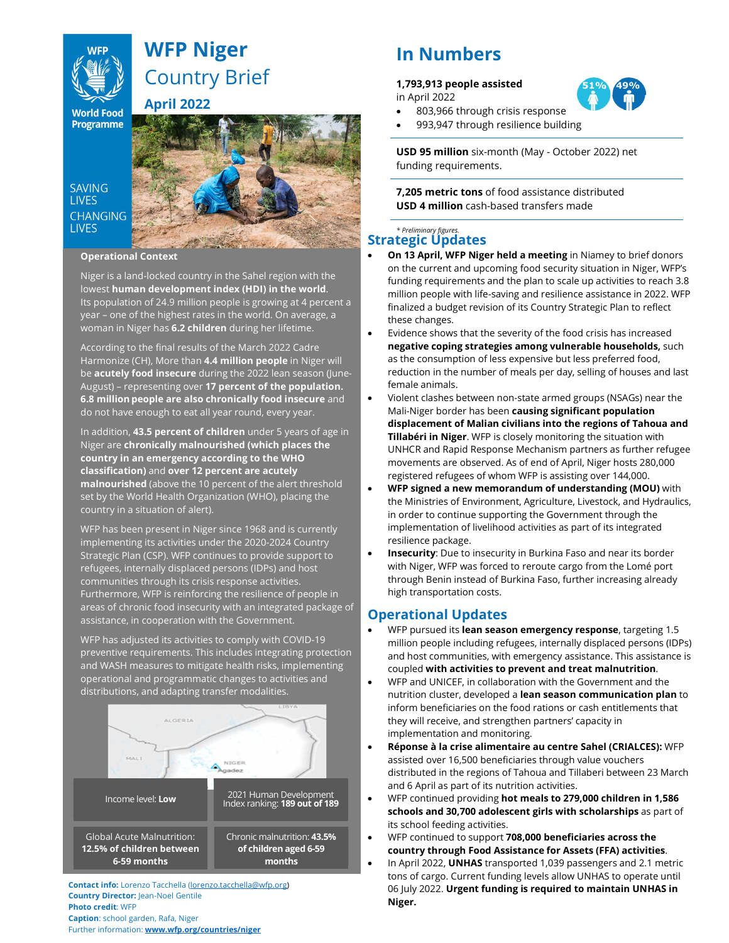# **KUP A** Country Brief WFP Niger

**World Food**<br>**Programme** April 2022

## **SAVING LIVES CHANGING LIVES**

## Operational Context

Niger is a land-locked country in the Sahel region with the lowest **human development index (HDI) in the world**.<br>Its population of 24.9 million people is growing at 4 percent a year – one of the highest rates in the world. On average, a woman in Niger has 6.2 children during her lifetime.

According to the final results of the March 2022 Cadre Harmonize (CH), More than 4.4 million people in Niger will be acutely food insecure during the 2022 lean season (June-August) - representing over 17 percent of the population. 6.8 million people are also chronically food insecure and do not have enough to eat all year round, every year.

In addition, 43.5 percent of children under 5 years of age in Niger are chronically malnourished (which places the country in an emergency according to the WHO classification) and over 12 percent are acutely malnourished (above the 10 percent of the alert threshold set by the World Health Organization (WHO), placing the country in a situation of alert).

WFP has been present in Niger since 1968 and is currently implementing its activities under the 2020-2024 Country Strategic Plan (CSP). WFP continues to provide support to refugees, internally displaced persons (IDPs) and host communities through its crisis response activities. Furthermore, WFP is reinforcing the resilience of people in areas of chronic food insecurity with an integrated package of assistance, in cooperation with the Government.

WFP has adjusted its activities to comply with COVID-19 preventive requirements. This includes integrating protection **the and host comp** and WASH measures to mitigate health risks, implementing and morphology with operational and programmatic changes to activities and distributions, and adapting transfer modalities.



Contact info: Lorenzo Tacchella (lorenzo.tacchella@wfp.org) Country Director: Jean-Noel Gentile Photo credit: WFP Caption: school garden, Rafa, Niger Further information: www.wfp.org/countries/niger

## In Numbers

## 1,793,913 people assisted

in April 2022

803,966 through crisis response



USD 95 million six-month (May - October 2022) net funding requirements.

7,205 metric tons of food assistance distributed USD 4 million cash-based transfers made

## **Strategic Updates**

- On 13 April, WFP Niger held a meeting in Niamey to brief donors on the current and upcoming food security situation in Niger, WFP's funding requirements and the plan to scale up activities to reach 3.8 million people with life-saving and resilience assistance in 2022. WFP finalized a budget revision of its Country Strategic Plan to reflect these changes.
- Evidence shows that the severity of the food crisis has increased negative coping strategies among vulnerable households, such as the consumption of less expensive but less preferred food, reduction in the number of meals per day, selling of houses and last female animals.
- Violent clashes between non-state armed groups (NSAGs) near the Mali-Niger border has been causing significant population displacement of Malian civilians into the regions of Tahoua and **Tillabéri in Niger.** WFP is closely monitoring the situation with UNHCR and Rapid Response Mechanism partners as further refugee movements are observed. As of end of April, Niger hosts 280,000 registered refugees of whom WFP is assisting over 144,000.
- WFP signed a new memorandum of understanding (MOU) with the Ministries of Environment, Agriculture, Livestock, and Hydraulics, in order to continue supporting the Government through the implementation of livelihood activities as part of its integrated resilience package.
- Insecurity: Due to insecurity in Burkina Faso and near its border with Niger, WFP was forced to reroute cargo from the Lomé port through Benin instead of Burkina Faso, further increasing already high transportation costs.

## Operational Updates

- WFP pursued its **lean season emergency response**, targeting 1.5 million people including refugees, internally displaced persons (IDPs) and host communities, with emergency assistance. This assistance is coupled with activities to prevent and treat malnutrition.
- WFP and UNICEF, in collaboration with the Government and the nutrition cluster, developed a lean season communication plan to inform beneficiaries on the food rations or cash entitlements that they will receive, and strengthen partners' capacity in implementation and monitoring.
- Réponse à la crise alimentaire au centre Sahel (CRIALCES): WFP assisted over 16,500 beneficiaries through value vouchers distributed in the regions of Tahoua and Tillaberi between 23 March and 6 April as part of its nutrition activities.
- WFP continued providing hot meals to 279,000 children in 1,586 schools and 30,700 adolescent girls with scholarships as part of its school feeding activities.
- WFP continued to support 708,000 beneficiaries across the country through Food Assistance for Assets (FFA) activities.
- **In April 2022, UNHAS** transported 1,039 passengers and 2.1 metric metric tons of cargo. Current funding levels allow UNHAS to operate until 06 July 2022. Urgent funding is required to maintain UNHAS in Niger.